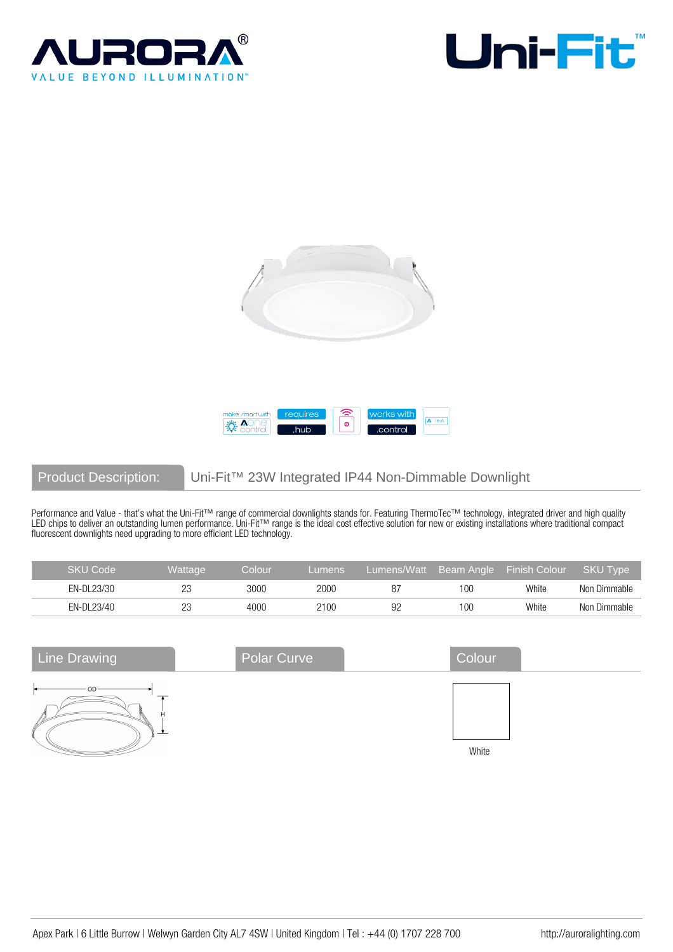







# Product Description: Uni-Fit™ 23W Integrated IP44 Non-Dimmable Downlight

Performance and Value - that's what the Uni-Fit™ range of commercial downlights stands for. Featuring ThermoTec™ technology, integrated driver and high quality LED chips to deliver an outstanding lumen performance. Uni-Fit™ range is the ideal cost effective solution for new or existing installations where traditional compact fluorescent downlights need upgrading to more efficient LED technology.

| <b>SKU Code</b> | Wattage <sup>1</sup> | Colour | Lumens |    |       | Lumens/Watt Beam Angle Finish Colour | SKU Type     |
|-----------------|----------------------|--------|--------|----|-------|--------------------------------------|--------------|
| EN-DL23/30      |                      | 3000   | 2000   |    | 1 O C | White                                | Non Dimmable |
| EN-DL23/40      |                      | 4000   | 2100   | 92 | 1 OC  | White                                | Non Dimmable |

| <b>Line Drawing</b> | Polar Curve | Colour |  |
|---------------------|-------------|--------|--|
|                     |             | White  |  |